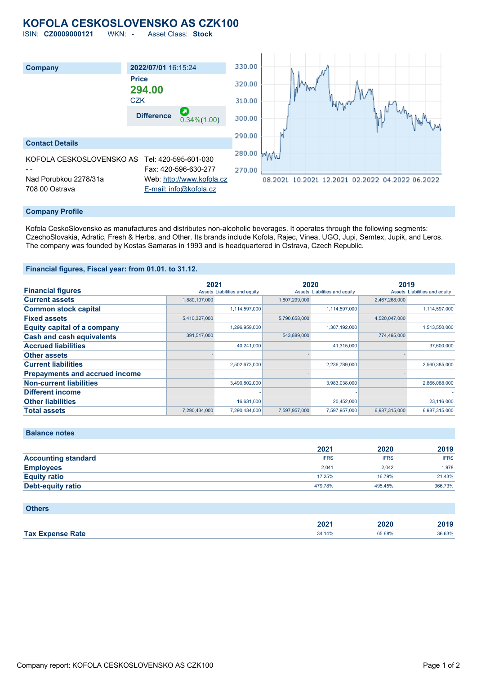# **KOFOLA CESKOSLOVENSKO AS CZK100**

ISIN: **CZ0009000121** WKN: **-** Asset Class: **Stock**



### **Company Profile**

Kofola CeskoSlovensko as manufactures and distributes non-alcoholic beverages. It operates through the following segments: CzechoSlovakia, Adratic, Fresh & Herbs. and Other. Its brands include Kofola, Rajec, Vinea, UGO, Jupi, Semtex, Jupik, and Leros. The company was founded by Kostas Samaras in 1993 and is headquartered in Ostrava, Czech Republic.

### **Financial figures, Fiscal year: from 01.01. to 31.12.**

|                                       | 2021          |                               | 2020          |                               | 2019          |                               |
|---------------------------------------|---------------|-------------------------------|---------------|-------------------------------|---------------|-------------------------------|
| <b>Financial figures</b>              |               | Assets Liabilities and equity |               | Assets Liabilities and equity |               | Assets Liabilities and equity |
| <b>Current assets</b>                 | 1,880,107,000 |                               | 1,807,299,000 |                               | 2,467,268,000 |                               |
| <b>Common stock capital</b>           |               | 1,114,597,000                 |               | 1,114,597,000                 |               | 1,114,597,000                 |
| <b>Fixed assets</b>                   | 5,410,327,000 |                               | 5,790,658,000 |                               | 4,520,047,000 |                               |
| <b>Equity capital of a company</b>    |               | 1,296,959,000                 |               | 1,307,192,000                 |               | 1,513,550,000                 |
| <b>Cash and cash equivalents</b>      | 391,517,000   |                               | 543,889,000   |                               | 774,495,000   |                               |
| <b>Accrued liabilities</b>            |               | 40.241.000                    |               | 41,315,000                    |               | 37,600,000                    |
| <b>Other assets</b>                   |               |                               |               |                               |               |                               |
| <b>Current liabilities</b>            |               | 2,502,673,000                 |               | 2,236,789,000                 |               | 2,560,385,000                 |
| <b>Prepayments and accrued income</b> |               |                               |               |                               |               |                               |
| <b>Non-current liabilities</b>        |               | 3,490,802,000                 |               | 3,983,038,000                 |               | 2,866,088,000                 |
| <b>Different income</b>               |               |                               |               |                               |               |                               |
| <b>Other liabilities</b>              |               | 16.631.000                    |               | 20,452,000                    |               | 23,116,000                    |
| <b>Total assets</b>                   | 7.290.434.000 | 7.290.434.000                 | 7.597.957.000 | 7.597.957.000                 | 6.987.315.000 | 6.987.315.000                 |

| <b>Balance notes</b> |  |  |  |
|----------------------|--|--|--|
|                      |  |  |  |

|                            | 2021        | 2020        | 2019        |
|----------------------------|-------------|-------------|-------------|
| <b>Accounting standard</b> | <b>IFRS</b> | <b>IFRS</b> | <b>IFRS</b> |
| <b>Employees</b>           | 2.041       | 2.042       | 1.978       |
| <b>Equity ratio</b>        | 17.25%      | 16.79%      | 21.43%      |
| Debt-equity ratio          | 479.78%     | 495.45%     | 366.73%     |

## **Others**

|                                                 | 2025<br>ZUZ | 2020        | 0040<br>~v· |  |
|-------------------------------------------------|-------------|-------------|-------------|--|
| Tax Ex<br><b>Example Rate</b><br><b>Evnoner</b> | 34.14%      | 65.68%<br>. | 36.63%      |  |